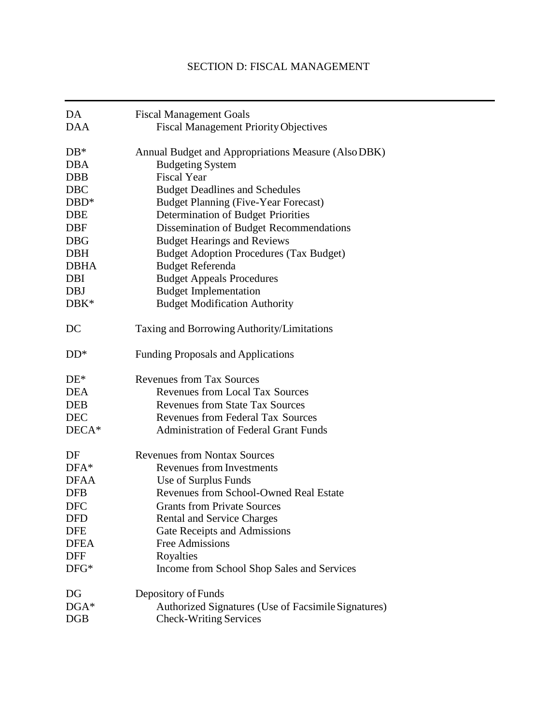# SECTION D: FISCAL MANAGEMENT

| DA                   | <b>Fiscal Management Goals</b>                                                       |  |
|----------------------|--------------------------------------------------------------------------------------|--|
| <b>DAA</b>           | <b>Fiscal Management Priority Objectives</b>                                         |  |
| $DB*$                | Annual Budget and Appropriations Measure (Also DBK)                                  |  |
| <b>DBA</b>           | <b>Budgeting System</b>                                                              |  |
| <b>DBB</b>           | <b>Fiscal Year</b>                                                                   |  |
| <b>DBC</b>           | <b>Budget Deadlines and Schedules</b>                                                |  |
| $DBD*$               | <b>Budget Planning (Five-Year Forecast)</b>                                          |  |
| <b>DBE</b>           | Determination of Budget Priorities                                                   |  |
| <b>DBF</b>           | Dissemination of Budget Recommendations                                              |  |
| <b>DBG</b>           | <b>Budget Hearings and Reviews</b>                                                   |  |
| <b>DBH</b>           | <b>Budget Adoption Procedures (Tax Budget)</b>                                       |  |
| <b>DBHA</b>          | <b>Budget Referenda</b>                                                              |  |
| DBI                  | <b>Budget Appeals Procedures</b>                                                     |  |
| <b>DBJ</b>           | <b>Budget Implementation</b>                                                         |  |
| DBK*                 | <b>Budget Modification Authority</b>                                                 |  |
| DC                   | Taxing and Borrowing Authority/Limitations                                           |  |
| $DD*$                | <b>Funding Proposals and Applications</b>                                            |  |
| $DE*$                | <b>Revenues from Tax Sources</b>                                                     |  |
| <b>DEA</b>           | <b>Revenues from Local Tax Sources</b>                                               |  |
| <b>DEB</b>           | <b>Revenues from State Tax Sources</b>                                               |  |
| <b>DEC</b>           | <b>Revenues from Federal Tax Sources</b>                                             |  |
| DECA*                | <b>Administration of Federal Grant Funds</b>                                         |  |
|                      |                                                                                      |  |
| DF                   | <b>Revenues from Nontax Sources</b>                                                  |  |
| $DFA*$               | <b>Revenues from Investments</b>                                                     |  |
| <b>DFAA</b>          | Use of Surplus Funds                                                                 |  |
| <b>DFB</b>           | <b>Revenues from School-Owned Real Estate</b>                                        |  |
| <b>DFC</b>           | <b>Grants from Private Sources</b>                                                   |  |
| <b>DFD</b>           | <b>Rental and Service Charges</b>                                                    |  |
| <b>DFE</b>           | Gate Receipts and Admissions                                                         |  |
| <b>DFEA</b>          | <b>Free Admissions</b>                                                               |  |
| <b>DFF</b>           | Royalties                                                                            |  |
| $DFG*$               | Income from School Shop Sales and Services                                           |  |
| DG                   | Depository of Funds                                                                  |  |
| $DGA*$<br><b>DGB</b> | Authorized Signatures (Use of Facsimile Signatures)<br><b>Check-Writing Services</b> |  |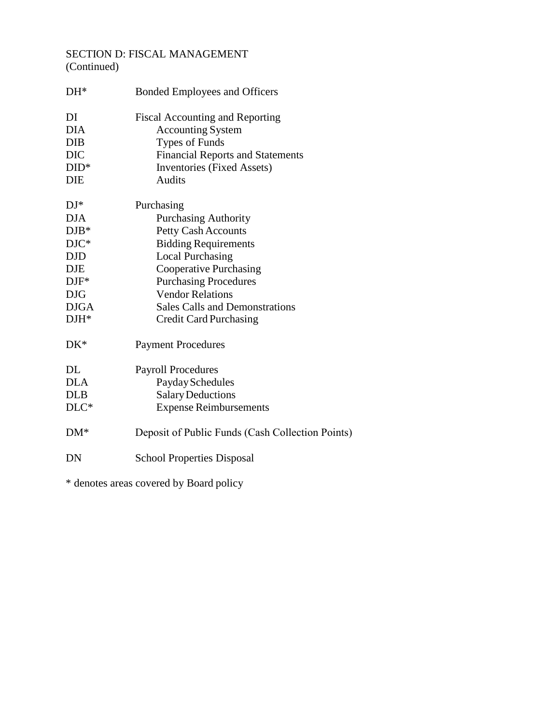## SECTION D: FISCAL MANAGEMENT (Continued)

| $DH^*$      | <b>Bonded Employees and Officers</b>             |
|-------------|--------------------------------------------------|
| DI          | <b>Fiscal Accounting and Reporting</b>           |
| <b>DIA</b>  | <b>Accounting System</b>                         |
| <b>DIB</b>  | <b>Types of Funds</b>                            |
| <b>DIC</b>  | <b>Financial Reports and Statements</b>          |
| $DID^*$     | <b>Inventories</b> (Fixed Assets)                |
| DIE         | <b>Audits</b>                                    |
| $DJ^*$      | Purchasing                                       |
| <b>DJA</b>  | <b>Purchasing Authority</b>                      |
| $DJB*$      | <b>Petty Cash Accounts</b>                       |
| $DJC*$      | <b>Bidding Requirements</b>                      |
| <b>DJD</b>  | <b>Local Purchasing</b>                          |
| <b>DJE</b>  | <b>Cooperative Purchasing</b>                    |
| $DJF^*$     | <b>Purchasing Procedures</b>                     |
| <b>DJG</b>  | <b>Vendor Relations</b>                          |
| <b>DJGA</b> | <b>Sales Calls and Demonstrations</b>            |
| $DH^*$      | <b>Credit Card Purchasing</b>                    |
| $DK^*$      | <b>Payment Procedures</b>                        |
| DL          | <b>Payroll Procedures</b>                        |
| <b>DLA</b>  | Payday Schedules                                 |
| <b>DLB</b>  | <b>Salary Deductions</b>                         |
| $DLC*$      | <b>Expense Reimbursements</b>                    |
| $DM*$       | Deposit of Public Funds (Cash Collection Points) |
| DN          | <b>School Properties Disposal</b>                |
|             |                                                  |

\* denotes areas covered by Board policy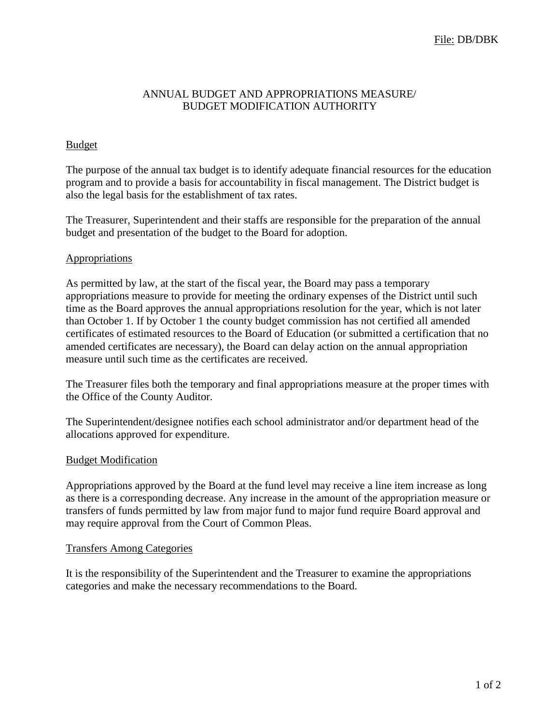## ANNUAL BUDGET AND APPROPRIATIONS MEASURE/ BUDGET MODIFICATION AUTHORITY

### Budget

The purpose of the annual tax budget is to identify adequate financial resources for the education program and to provide a basis for accountability in fiscal management. The District budget is also the legal basis for the establishment of tax rates.

The Treasurer, Superintendent and their staffs are responsible for the preparation of the annual budget and presentation of the budget to the Board for adoption.

### **Appropriations**

As permitted by law, at the start of the fiscal year, the Board may pass a temporary appropriations measure to provide for meeting the ordinary expenses of the District until such time as the Board approves the annual appropriations resolution for the year, which is not later than October 1. If by October 1 the county budget commission has not certified all amended certificates of estimated resources to the Board of Education (or submitted a certification that no amended certificates are necessary), the Board can delay action on the annual appropriation measure until such time as the certificates are received.

The Treasurer files both the temporary and final appropriations measure at the proper times with the Office of the County Auditor.

The Superintendent/designee notifies each school administrator and/or department head of the allocations approved for expenditure.

### Budget Modification

Appropriations approved by the Board at the fund level may receive a line item increase as long as there is a corresponding decrease. Any increase in the amount of the appropriation measure or transfers of funds permitted by law from major fund to major fund require Board approval and may require approval from the Court of Common Pleas.

### Transfers Among Categories

It is the responsibility of the Superintendent and the Treasurer to examine the appropriations categories and make the necessary recommendations to the Board.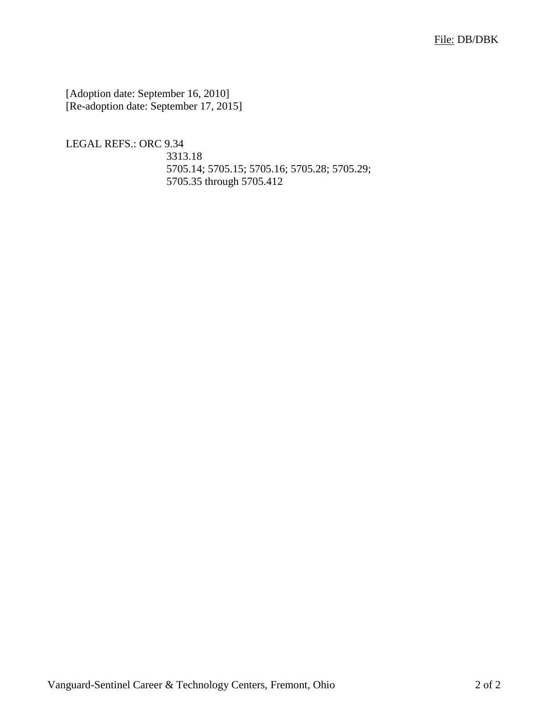[Adoption date: September 16, 2010] [Re-adoption date: September 17, 2015]

LEGAL REFS.: ORC 9.34

3313.18 5705.14; 5705.15; 5705.16; 5705.28; 5705.29; 5705.35 through 5705.412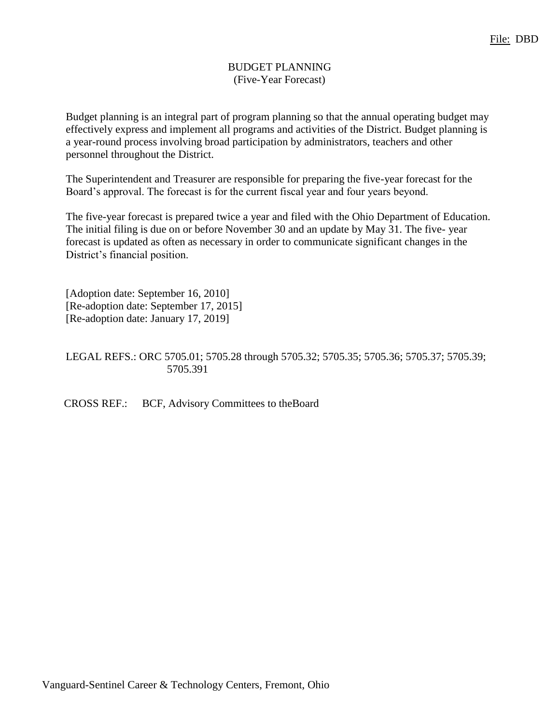## BUDGET PLANNING (Five-Year Forecast)

Budget planning is an integral part of program planning so that the annual operating budget may effectively express and implement all programs and activities of the District. Budget planning is a year-round process involving broad participation by administrators, teachers and other personnel throughout the District.

The Superintendent and Treasurer are responsible for preparing the five-year forecast for the Board's approval. The forecast is for the current fiscal year and four years beyond.

The five-year forecast is prepared twice a year and filed with the Ohio Department of Education. The initial filing is due on or before November 30 and an update by May 31. The five- year forecast is updated as often as necessary in order to communicate significant changes in the District's financial position.

[Adoption date: September 16, 2010] [Re-adoption date: September 17, 2015] [Re-adoption date: January 17, 2019]

LEGAL REFS.: ORC 5705.01; 5705.28 through 5705.32; 5705.35; 5705.36; 5705.37; 5705.39; 5705.391

CROSS REF.: BCF, Advisory Committees to theBoard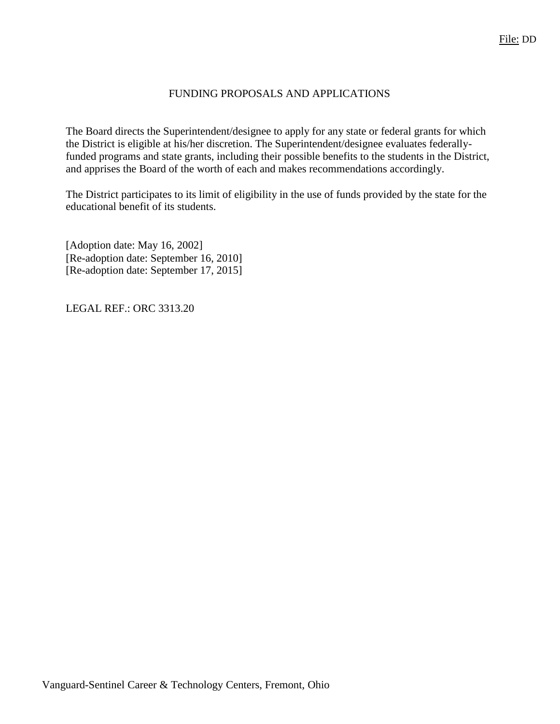## FUNDING PROPOSALS AND APPLICATIONS

The Board directs the Superintendent/designee to apply for any state or federal grants for which the District is eligible at his/her discretion. The Superintendent/designee evaluates federallyfunded programs and state grants, including their possible benefits to the students in the District, and apprises the Board of the worth of each and makes recommendations accordingly.

The District participates to its limit of eligibility in the use of funds provided by the state for the educational benefit of its students.

[Adoption date: May 16, 2002] [Re-adoption date: September 16, 2010] [Re-adoption date: September 17, 2015]

LEGAL REF.: ORC 3313.20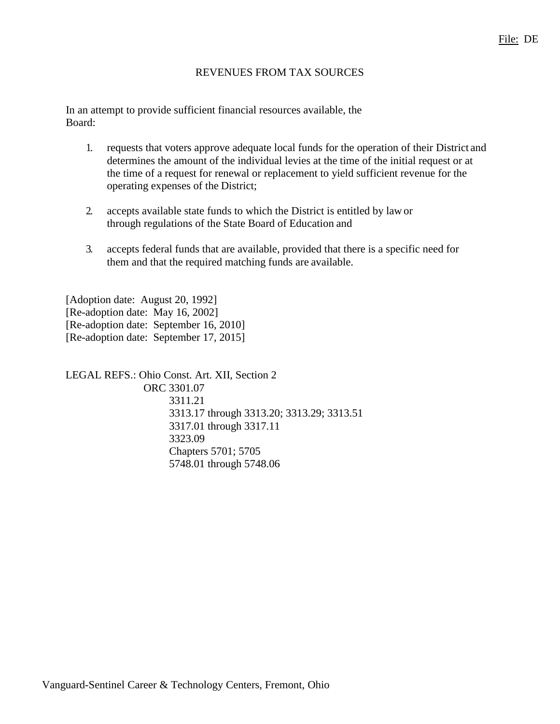#### REVENUES FROM TAX SOURCES

In an attempt to provide sufficient financial resources available, the Board:

- 1. requests that voters approve adequate local funds for the operation of their District and determines the amount of the individual levies at the time of the initial request or at the time of a request for renewal or replacement to yield sufficient revenue for the operating expenses of the District;
- 2. accepts available state funds to which the District is entitled by lawor through regulations of the State Board of Education and
- 3. accepts federal funds that are available, provided that there is a specific need for them and that the required matching funds are available.

[Adoption date: August 20, 1992] [Re-adoption date: May 16, 2002] [Re-adoption date: September 16, 2010] [Re-adoption date: September 17, 2015]

LEGAL REFS.: Ohio Const. Art. XII, Section 2 ORC 3301.07 3311.21 3313.17 through 3313.20; 3313.29; 3313.51 3317.01 through 3317.11 3323.09 Chapters 5701; 5705 5748.01 through 5748.06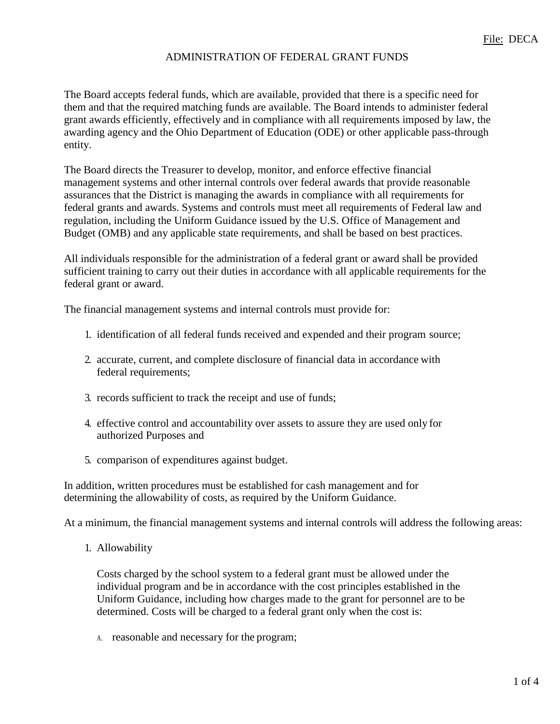### ADMINISTRATION OF FEDERAL GRANT FUNDS

The Board accepts federal funds, which are available, provided that there is a specific need for them and that the required matching funds are available. The Board intends to administer federal grant awards efficiently, effectively and in compliance with all requirements imposed by law, the awarding agency and the Ohio Department of Education (ODE) or other applicable pass-through entity.

The Board directs the Treasurer to develop, monitor, and enforce effective financial management systems and other internal controls over federal awards that provide reasonable assurances that the District is managing the awards in compliance with all requirements for federal grants and awards. Systems and controls must meet all requirements of Federal law and regulation, including the Uniform Guidance issued by the U.S. Office of Management and Budget (OMB) and any applicable state requirements, and shall be based on best practices.

All individuals responsible for the administration of a federal grant or award shall be provided sufficient training to carry out their duties in accordance with all applicable requirements for the federal grant or award.

The financial management systems and internal controls must provide for:

- 1. identification of all federal funds received and expended and their program source;
- 2. accurate, current, and complete disclosure of financial data in accordance with federal requirements;
- 3. records sufficient to track the receipt and use of funds;
- 4. effective control and accountability over assets to assure they are used only for authorized Purposes and
- 5. comparison of expenditures against budget.

In addition, written procedures must be established for cash management and for determining the allowability of costs, as required by the Uniform Guidance.

At a minimum, the financial management systems and internal controls will address the following areas:

1. Allowability

Costs charged by the school system to a federal grant must be allowed under the individual program and be in accordance with the cost principles established in the Uniform Guidance, including how charges made to the grant for personnel are to be determined. Costs will be charged to a federal grant only when the cost is:

A. reasonable and necessary for the program;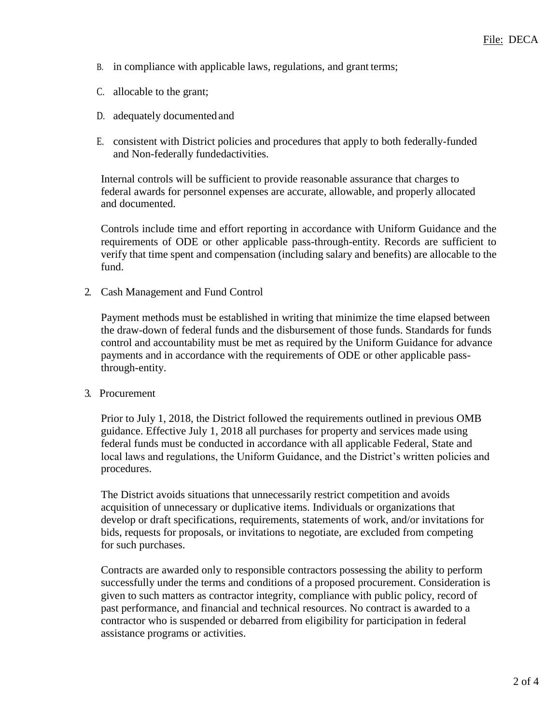- B. in compliance with applicable laws, regulations, and grant terms;
- C. allocable to the grant;
- D. adequately documentedand
- E. consistent with District policies and procedures that apply to both federally-funded and Non-federally fundedactivities.

Internal controls will be sufficient to provide reasonable assurance that charges to federal awards for personnel expenses are accurate, allowable, and properly allocated and documented.

Controls include time and effort reporting in accordance with Uniform Guidance and the requirements of ODE or other applicable pass-through-entity. Records are sufficient to verify that time spent and compensation (including salary and benefits) are allocable to the fund.

2. Cash Management and Fund Control

Payment methods must be established in writing that minimize the time elapsed between the draw-down of federal funds and the disbursement of those funds. Standards for funds control and accountability must be met as required by the Uniform Guidance for advance payments and in accordance with the requirements of ODE or other applicable passthrough-entity.

3. Procurement

Prior to July 1, 2018, the District followed the requirements outlined in previous OMB guidance. Effective July 1, 2018 all purchases for property and services made using federal funds must be conducted in accordance with all applicable Federal, State and local laws and regulations, the Uniform Guidance, and the District's written policies and procedures.

The District avoids situations that unnecessarily restrict competition and avoids acquisition of unnecessary or duplicative items. Individuals or organizations that develop or draft specifications, requirements, statements of work, and/or invitations for bids, requests for proposals, or invitations to negotiate, are excluded from competing for such purchases.

Contracts are awarded only to responsible contractors possessing the ability to perform successfully under the terms and conditions of a proposed procurement. Consideration is given to such matters as contractor integrity, compliance with public policy, record of past performance, and financial and technical resources. No contract is awarded to a contractor who is suspended or debarred from eligibility for participation in federal assistance programs or activities.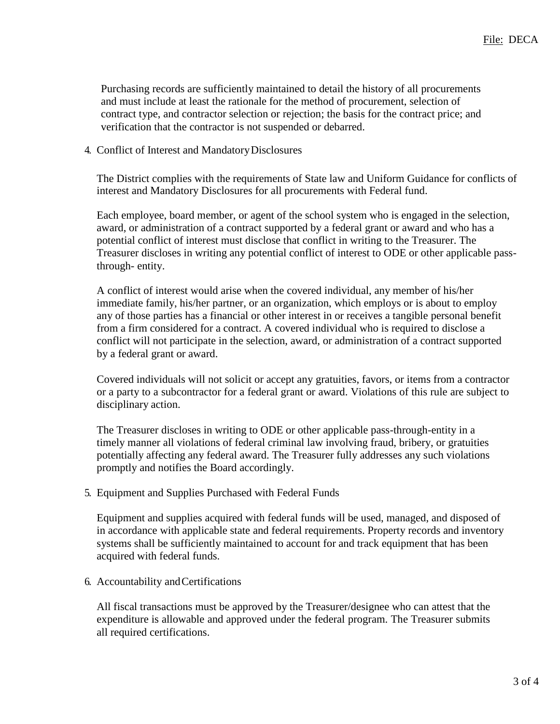Purchasing records are sufficiently maintained to detail the history of all procurements and must include at least the rationale for the method of procurement, selection of contract type, and contractor selection or rejection; the basis for the contract price; and verification that the contractor is not suspended or debarred.

#### 4. Conflict of Interest and MandatoryDisclosures

The District complies with the requirements of State law and Uniform Guidance for conflicts of interest and Mandatory Disclosures for all procurements with Federal fund.

Each employee, board member, or agent of the school system who is engaged in the selection, award, or administration of a contract supported by a federal grant or award and who has a potential conflict of interest must disclose that conflict in writing to the Treasurer. The Treasurer discloses in writing any potential conflict of interest to ODE or other applicable passthrough- entity.

A conflict of interest would arise when the covered individual, any member of his/her immediate family, his/her partner, or an organization, which employs or is about to employ any of those parties has a financial or other interest in or receives a tangible personal benefit from a firm considered for a contract. A covered individual who is required to disclose a conflict will not participate in the selection, award, or administration of a contract supported by a federal grant or award.

Covered individuals will not solicit or accept any gratuities, favors, or items from a contractor or a party to a subcontractor for a federal grant or award. Violations of this rule are subject to disciplinary action.

The Treasurer discloses in writing to ODE or other applicable pass-through-entity in a timely manner all violations of federal criminal law involving fraud, bribery, or gratuities potentially affecting any federal award. The Treasurer fully addresses any such violations promptly and notifies the Board accordingly.

5. Equipment and Supplies Purchased with Federal Funds

Equipment and supplies acquired with federal funds will be used, managed, and disposed of in accordance with applicable state and federal requirements. Property records and inventory systems shall be sufficiently maintained to account for and track equipment that has been acquired with federal funds.

6. Accountability andCertifications

All fiscal transactions must be approved by the Treasurer/designee who can attest that the expenditure is allowable and approved under the federal program. The Treasurer submits all required certifications.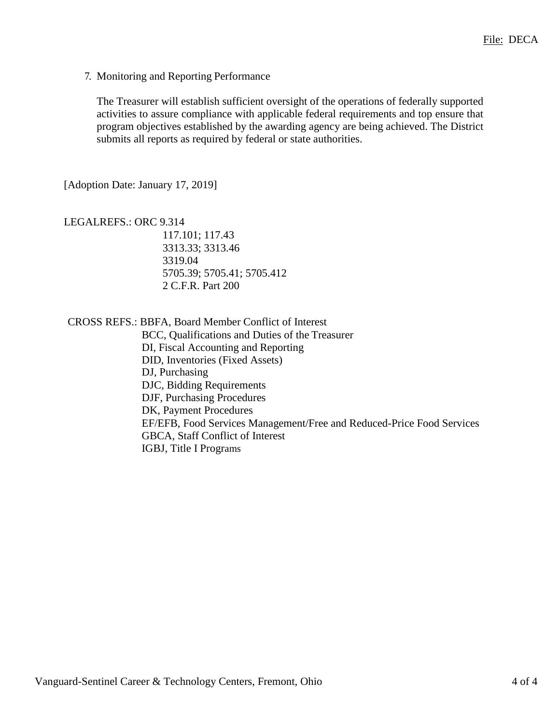7. Monitoring and Reporting Performance

The Treasurer will establish sufficient oversight of the operations of federally supported activities to assure compliance with applicable federal requirements and top ensure that program objectives established by the awarding agency are being achieved. The District submits all reports as required by federal or state authorities.

[Adoption Date: January 17, 2019]

LEGALREFS.: ORC 9.314 117.101; 117.43 3313.33; 3313.46 3319.04 5705.39; 5705.41; 5705.412 2 C.F.R. Part 200

CROSS REFS.: BBFA, Board Member Conflict of Interest

BCC, Qualifications and Duties of the Treasurer DI, Fiscal Accounting and Reporting DID, Inventories (Fixed Assets) DJ, Purchasing DJC, Bidding Requirements DJF, Purchasing Procedures DK, Payment Procedures EF/EFB, Food Services Management/Free and Reduced-Price Food Services GBCA, Staff Conflict of Interest IGBJ, Title I Programs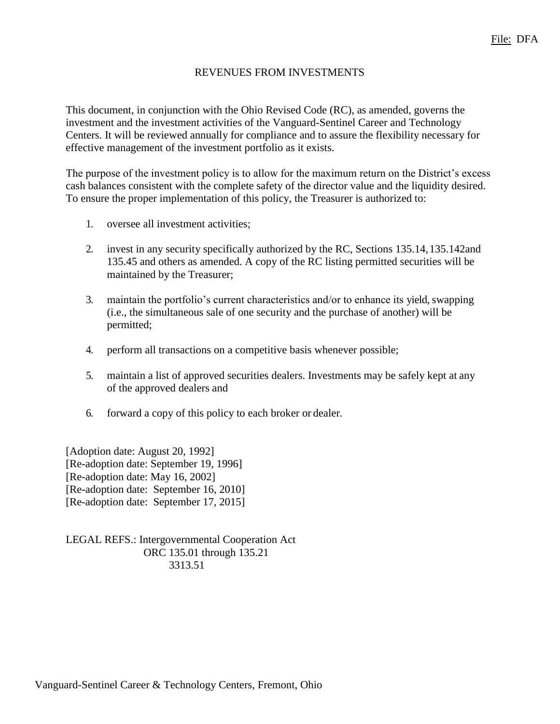## REVENUES FROM INVESTMENTS

This document, in conjunction with the Ohio Revised Code (RC), as amended, governs the investment and the investment activities of the Vanguard-Sentinel Career and Technology Centers. It will be reviewed annually for compliance and to assure the flexibility necessary for effective management of the investment portfolio as it exists.

The purpose of the investment policy is to allow for the maximum return on the District's excess cash balances consistent with the complete safety of the director value and the liquidity desired. To ensure the proper implementation of this policy, the Treasurer is authorized to:

- 1. oversee all investment activities;
- 2. invest in any security specifically authorized by the RC, Sections 135.14,135.142and 135.45 and others as amended. A copy of the RC listing permitted securities will be maintained by the Treasurer;
- 3. maintain the portfolio's current characteristics and/or to enhance its yield, swapping (i.e., the simultaneous sale of one security and the purchase of another) will be permitted;
- 4. perform all transactions on a competitive basis whenever possible;
- 5. maintain a list of approved securities dealers. Investments may be safely kept at any of the approved dealers and
- 6. forward a copy of this policy to each broker or dealer.

[Adoption date: August 20, 1992] [Re-adoption date: September 19, 1996] [Re-adoption date: May 16, 2002] [Re-adoption date: September 16, 2010] [Re-adoption date: September 17, 2015]

LEGAL REFS.: Intergovernmental Cooperation Act ORC 135.01 through 135.21 3313.51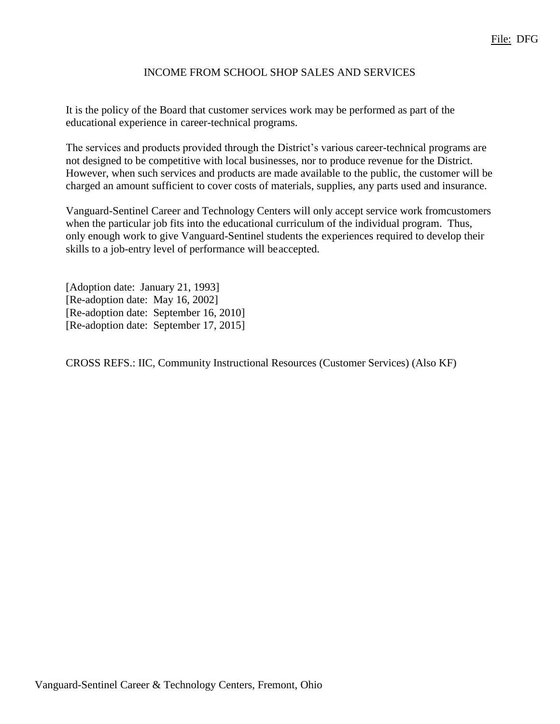## INCOME FROM SCHOOL SHOP SALES AND SERVICES

It is the policy of the Board that customer services work may be performed as part of the educational experience in career-technical programs.

The services and products provided through the District's various career-technical programs are not designed to be competitive with local businesses, nor to produce revenue for the District. However, when such services and products are made available to the public, the customer will be charged an amount sufficient to cover costs of materials, supplies, any parts used and insurance.

Vanguard-Sentinel Career and Technology Centers will only accept service work fromcustomers when the particular job fits into the educational curriculum of the individual program. Thus, only enough work to give Vanguard-Sentinel students the experiences required to develop their skills to a job-entry level of performance will beaccepted.

[Adoption date: January 21, 1993] [Re-adoption date: May 16, 2002] [Re-adoption date: September 16, 2010] [Re-adoption date: September 17, 2015]

CROSS REFS.: IIC, Community Instructional Resources (Customer Services) (Also KF)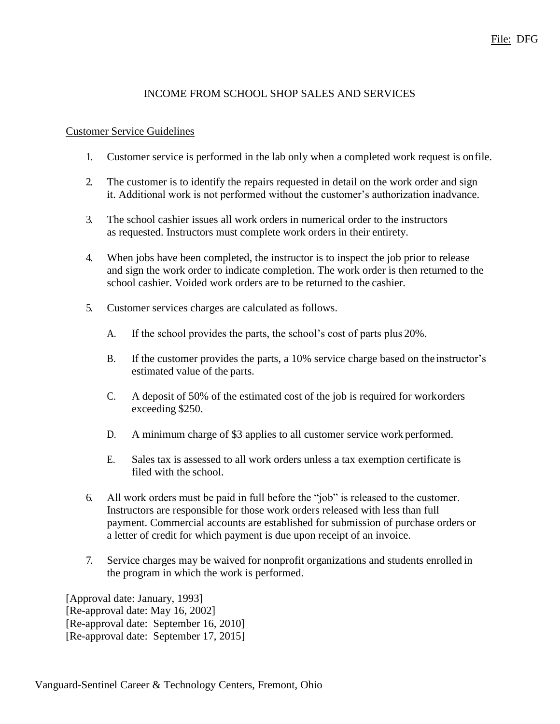## File: DFG

### INCOME FROM SCHOOL SHOP SALES AND SERVICES

#### Customer Service Guidelines

- 1. Customer service is performed in the lab only when a completed work request is onfile.
- 2. The customer is to identify the repairs requested in detail on the work order and sign it. Additional work is not performed without the customer's authorization inadvance.
- 3. The school cashier issues all work orders in numerical order to the instructors as requested. Instructors must complete work orders in their entirety.
- 4. When jobs have been completed, the instructor is to inspect the job prior to release and sign the work order to indicate completion. The work order is then returned to the school cashier. Voided work orders are to be returned to the cashier.
- 5. Customer services charges are calculated as follows.
	- A. If the school provides the parts, the school's cost of parts plus 20%.
	- B. If the customer provides the parts, a 10% service charge based on the instructor's estimated value of the parts.
	- C. A deposit of 50% of the estimated cost of the job is required for workorders exceeding \$250.
	- D. A minimum charge of \$3 applies to all customer service work performed.
	- E. Sales tax is assessed to all work orders unless a tax exemption certificate is filed with the school.
- 6. All work orders must be paid in full before the "job" is released to the customer. Instructors are responsible for those work orders released with less than full payment. Commercial accounts are established for submission of purchase orders or a letter of credit for which payment is due upon receipt of an invoice.
- 7. Service charges may be waived for nonprofit organizations and students enrolled in the program in which the work is performed.

[Approval date: January, 1993] [Re-approval date: May 16, 2002] [Re-approval date: September 16, 2010] [Re-approval date: September 17, 2015]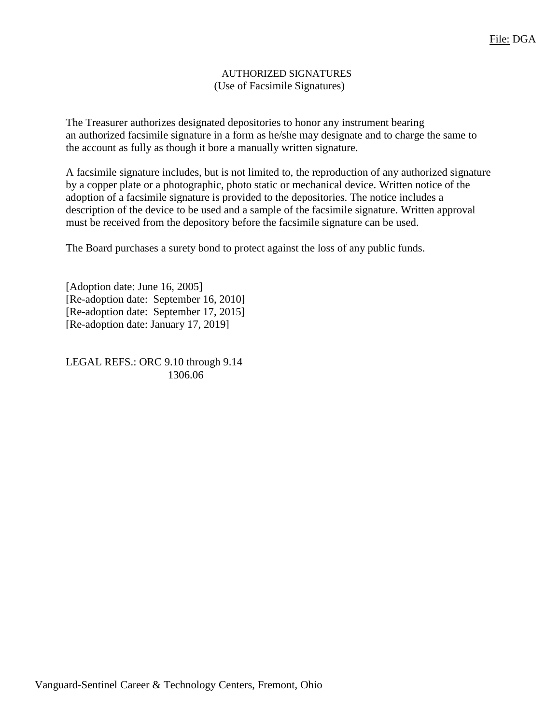#### AUTHORIZED SIGNATURES (Use of Facsimile Signatures)

The Treasurer authorizes designated depositories to honor any instrument bearing an authorized facsimile signature in a form as he/she may designate and to charge the same to the account as fully as though it bore a manually written signature.

A facsimile signature includes, but is not limited to, the reproduction of any authorized signature by a copper plate or a photographic, photo static or mechanical device. Written notice of the adoption of a facsimile signature is provided to the depositories. The notice includes a description of the device to be used and a sample of the facsimile signature. Written approval must be received from the depository before the facsimile signature can be used.

The Board purchases a surety bond to protect against the loss of any public funds.

[Adoption date: June 16, 2005] [Re-adoption date: September 16, 2010] [Re-adoption date: September 17, 2015] [Re-adoption date: January 17, 2019]

LEGAL REFS.: ORC 9.10 through 9.14 1306.06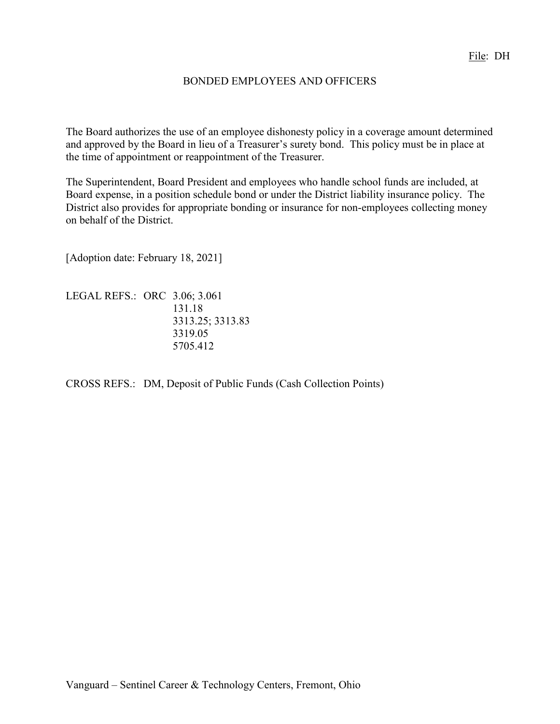## BONDED EMPLOYEES AND OFFICERS

The Board authorizes the use of an employee dishonesty policy in a coverage amount determined and approved by the Board in lieu of a Treasurer's surety bond. This policy must be in place at the time of appointment or reappointment of the Treasurer.

The Superintendent, Board President and employees who handle school funds are included, at Board expense, in a position schedule bond or under the District liability insurance policy. The District also provides for appropriate bonding or insurance for non-employees collecting money on behalf of the District.

[Adoption date: February 18, 2021]

LEGAL REFS.: ORC 3.06; 3.061 131.18 3313.25; 3313.83 3319.05 5705.412

CROSS REFS.: DM, Deposit of Public Funds (Cash Collection Points)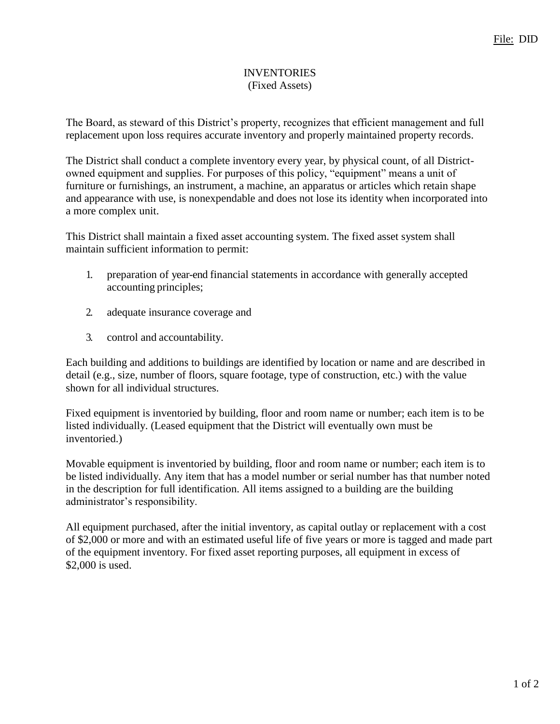### INVENTORIES (Fixed Assets)

The Board, as steward of this District's property, recognizes that efficient management and full replacement upon loss requires accurate inventory and properly maintained property records.

The District shall conduct a complete inventory every year, by physical count, of all Districtowned equipment and supplies. For purposes of this policy, "equipment" means a unit of furniture or furnishings, an instrument, a machine, an apparatus or articles which retain shape and appearance with use, is nonexpendable and does not lose its identity when incorporated into a more complex unit.

This District shall maintain a fixed asset accounting system. The fixed asset system shall maintain sufficient information to permit:

- 1. preparation of year-end financial statements in accordance with generally accepted accounting principles;
- 2. adequate insurance coverage and
- 3. control and accountability.

Each building and additions to buildings are identified by location or name and are described in detail (e.g., size, number of floors, square footage, type of construction, etc.) with the value shown for all individual structures.

Fixed equipment is inventoried by building, floor and room name or number; each item is to be listed individually. (Leased equipment that the District will eventually own must be inventoried.)

Movable equipment is inventoried by building, floor and room name or number; each item is to be listed individually. Any item that has a model number or serial number has that number noted in the description for full identification. All items assigned to a building are the building administrator's responsibility.

All equipment purchased, after the initial inventory, as capital outlay or replacement with a cost of \$2,000 or more and with an estimated useful life of five years or more is tagged and made part of the equipment inventory. For fixed asset reporting purposes, all equipment in excess of \$2,000 is used.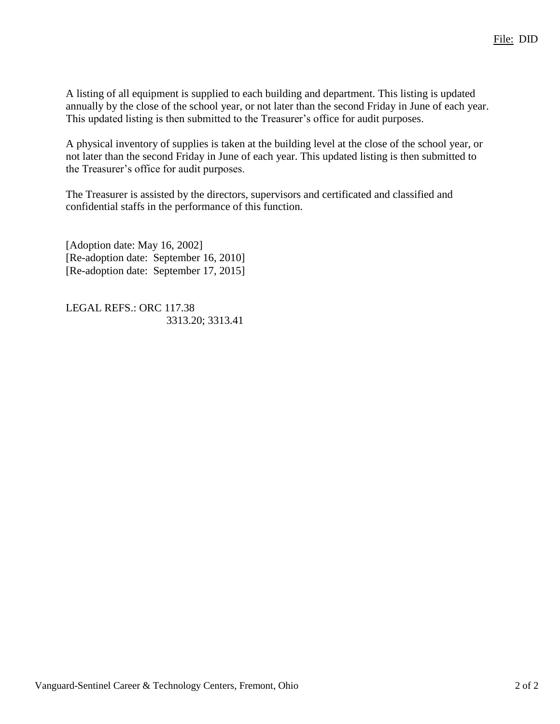A listing of all equipment is supplied to each building and department. This listing is updated annually by the close of the school year, or not later than the second Friday in June of each year. This updated listing is then submitted to the Treasurer's office for audit purposes.

A physical inventory of supplies is taken at the building level at the close of the school year, or not later than the second Friday in June of each year. This updated listing is then submitted to the Treasurer's office for audit purposes.

The Treasurer is assisted by the directors, supervisors and certificated and classified and confidential staffs in the performance of this function.

[Adoption date: May 16, 2002] [Re-adoption date: September 16, 2010] [Re-adoption date: September 17, 2015]

LEGAL REFS.: ORC 117.38 3313.20; 3313.41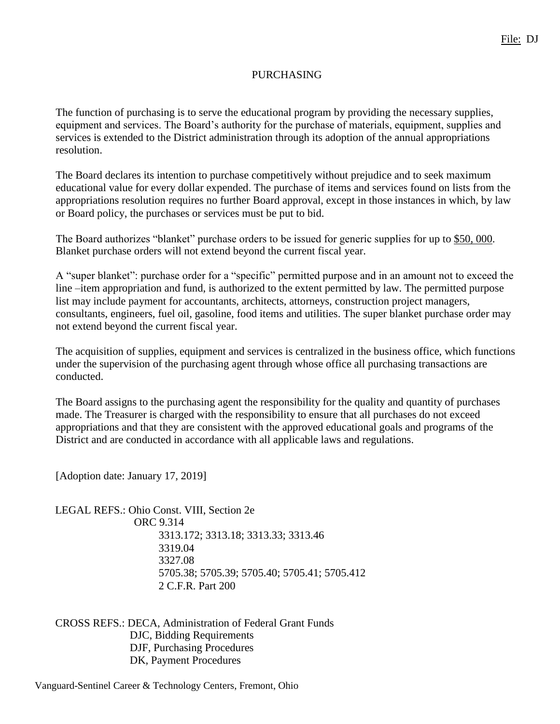### PURCHASING

The function of purchasing is to serve the educational program by providing the necessary supplies, equipment and services. The Board's authority for the purchase of materials, equipment, supplies and services is extended to the District administration through its adoption of the annual appropriations resolution.

The Board declares its intention to purchase competitively without prejudice and to seek maximum educational value for every dollar expended. The purchase of items and services found on lists from the appropriations resolution requires no further Board approval, except in those instances in which, by law or Board policy, the purchases or services must be put to bid.

The Board authorizes "blanket" purchase orders to be issued for generic supplies for up to \$50,000. Blanket purchase orders will not extend beyond the current fiscal year.

A "super blanket": purchase order for a "specific" permitted purpose and in an amount not to exceed the line –item appropriation and fund, is authorized to the extent permitted by law. The permitted purpose list may include payment for accountants, architects, attorneys, construction project managers, consultants, engineers, fuel oil, gasoline, food items and utilities. The super blanket purchase order may not extend beyond the current fiscal year.

The acquisition of supplies, equipment and services is centralized in the business office, which functions under the supervision of the purchasing agent through whose office all purchasing transactions are conducted.

The Board assigns to the purchasing agent the responsibility for the quality and quantity of purchases made. The Treasurer is charged with the responsibility to ensure that all purchases do not exceed appropriations and that they are consistent with the approved educational goals and programs of the District and are conducted in accordance with all applicable laws and regulations.

[Adoption date: January 17, 2019]

LEGAL REFS.: Ohio Const. VIII, Section 2e ORC 9.314 3313.172; 3313.18; 3313.33; 3313.46 3319.04 3327.08 5705.38; 5705.39; 5705.40; 5705.41; 5705.412 2 C.F.R. Part 200

CROSS REFS.: DECA, Administration of Federal Grant Funds DJC, Bidding Requirements DJF, Purchasing Procedures DK, Payment Procedures

Vanguard-Sentinel Career & Technology Centers, Fremont, Ohio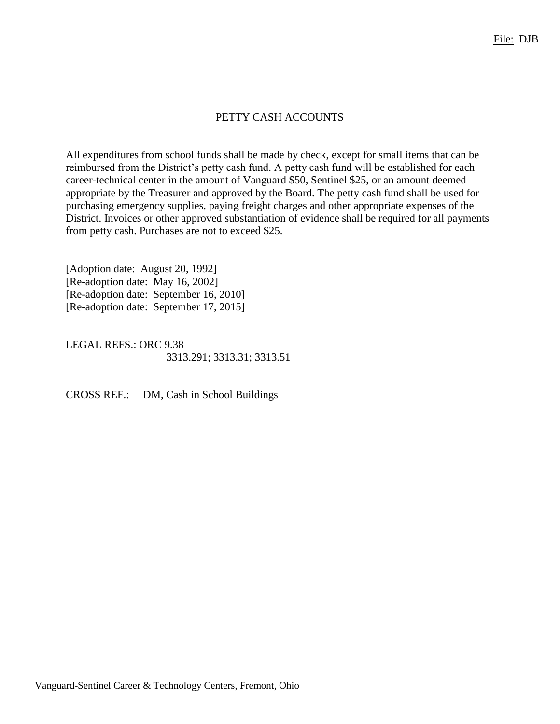## PETTY CASH ACCOUNTS

All expenditures from school funds shall be made by check, except for small items that can be reimbursed from the District's petty cash fund. A petty cash fund will be established for each career-technical center in the amount of Vanguard \$50, Sentinel \$25, or an amount deemed appropriate by the Treasurer and approved by the Board. The petty cash fund shall be used for purchasing emergency supplies, paying freight charges and other appropriate expenses of the District. Invoices or other approved substantiation of evidence shall be required for all payments from petty cash. Purchases are not to exceed \$25.

[Adoption date: August 20, 1992] [Re-adoption date: May 16, 2002] [Re-adoption date: September 16, 2010] [Re-adoption date: September 17, 2015]

LEGAL REFS.: ORC 9.38 3313.291; 3313.31; 3313.51

CROSS REF.: DM, Cash in School Buildings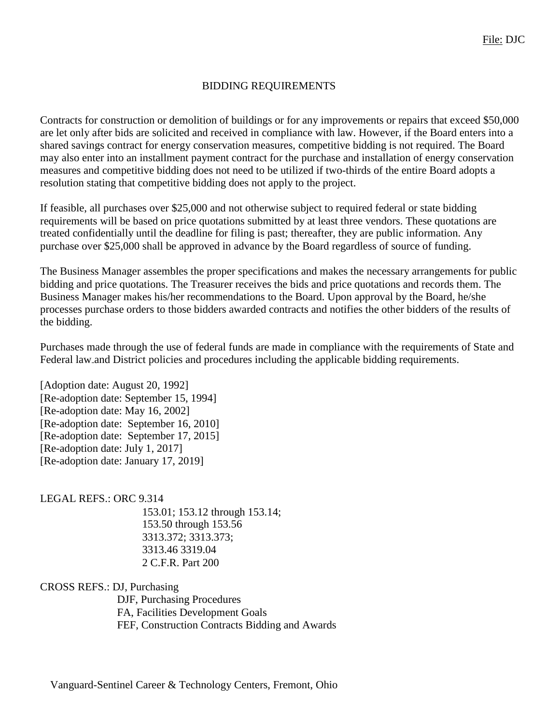## BIDDING REQUIREMENTS

Contracts for construction or demolition of buildings or for any improvements or repairs that exceed \$50,000 are let only after bids are solicited and received in compliance with law. However, if the Board enters into a shared savings contract for energy conservation measures, competitive bidding is not required. The Board may also enter into an installment payment contract for the purchase and installation of energy conservation measures and competitive bidding does not need to be utilized if two-thirds of the entire Board adopts a resolution stating that competitive bidding does not apply to the project.

If feasible, all purchases over \$25,000 and not otherwise subject to required federal or state bidding requirements will be based on price quotations submitted by at least three vendors. These quotations are treated confidentially until the deadline for filing is past; thereafter, they are public information. Any purchase over \$25,000 shall be approved in advance by the Board regardless of source of funding.

The Business Manager assembles the proper specifications and makes the necessary arrangements for public bidding and price quotations. The Treasurer receives the bids and price quotations and records them. The Business Manager makes his/her recommendations to the Board. Upon approval by the Board, he/she processes purchase orders to those bidders awarded contracts and notifies the other bidders of the results of the bidding.

Purchases made through the use of federal funds are made in compliance with the requirements of State and Federal law and District policies and procedures including the applicable bidding requirements.

[Adoption date: August 20, 1992] [Re-adoption date: September 15, 1994] [Re-adoption date: May 16, 2002] [Re-adoption date: September 16, 2010] [Re-adoption date: September 17, 2015] [Re-adoption date: July 1, 2017] [Re-adoption date: January 17, 2019]

LEGAL REFS.: ORC 9.314

153.01; 153.12 through 153.14; 153.50 through 153.56 3313.372; 3313.373; 3313.46 3319.04 2 C.F.R. Part 200

CROSS REFS.: DJ, Purchasing

DJF, Purchasing Procedures FA, Facilities Development Goals FEF, Construction Contracts Bidding and Awards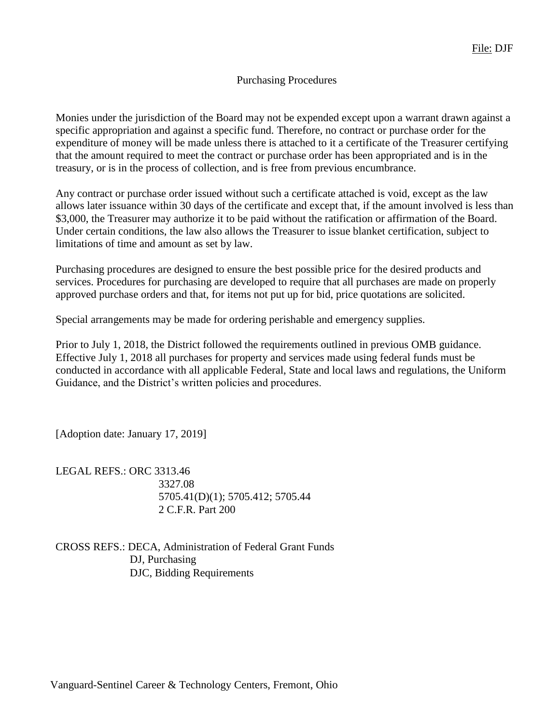### Purchasing Procedures

Monies under the jurisdiction of the Board may not be expended except upon a warrant drawn against a specific appropriation and against a specific fund. Therefore, no contract or purchase order for the expenditure of money will be made unless there is attached to it a certificate of the Treasurer certifying that the amount required to meet the contract or purchase order has been appropriated and is in the treasury, or is in the process of collection, and is free from previous encumbrance.

Any contract or purchase order issued without such a certificate attached is void, except as the law allows later issuance within 30 days of the certificate and except that, if the amount involved is less than \$3,000, the Treasurer may authorize it to be paid without the ratification or affirmation of the Board. Under certain conditions, the law also allows the Treasurer to issue blanket certification, subject to limitations of time and amount as set by law.

Purchasing procedures are designed to ensure the best possible price for the desired products and services. Procedures for purchasing are developed to require that all purchases are made on properly approved purchase orders and that, for items not put up for bid, price quotations are solicited.

Special arrangements may be made for ordering perishable and emergency supplies.

Prior to July 1, 2018, the District followed the requirements outlined in previous OMB guidance. Effective July 1, 2018 all purchases for property and services made using federal funds must be conducted in accordance with all applicable Federal, State and local laws and regulations, the Uniform Guidance, and the District's written policies and procedures.

[Adoption date: January 17, 2019]

LEGAL REFS.: ORC 3313.46 3327.08 5705.41(D)(1); 5705.412; 5705.44 2 C.F.R. Part 200

CROSS REFS.: DECA, Administration of Federal Grant Funds DJ, Purchasing DJC, Bidding Requirements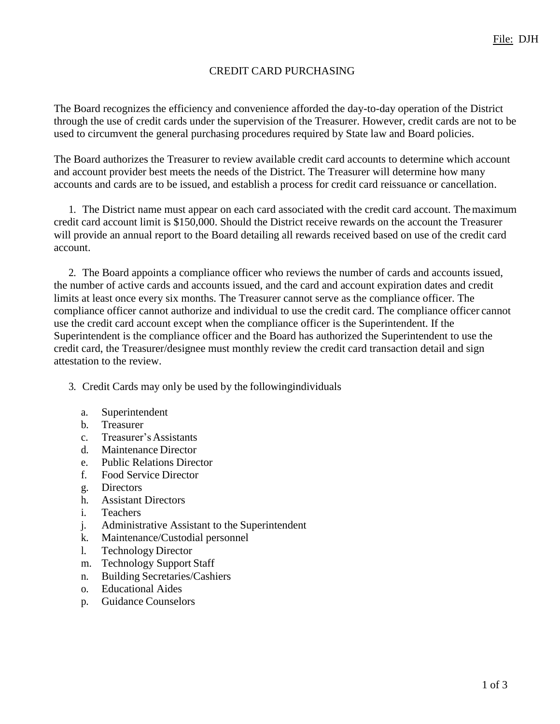## CREDIT CARD PURCHASING

The Board recognizes the efficiency and convenience afforded the day-to-day operation of the District through the use of credit cards under the supervision of the Treasurer. However, credit cards are not to be used to circumvent the general purchasing procedures required by State law and Board policies.

The Board authorizes the Treasurer to review available credit card accounts to determine which account and account provider best meets the needs of the District. The Treasurer will determine how many accounts and cards are to be issued, and establish a process for credit card reissuance or cancellation.

1. The District name must appear on each card associated with the credit card account. Themaximum credit card account limit is \$150,000. Should the District receive rewards on the account the Treasurer will provide an annual report to the Board detailing all rewards received based on use of the credit card account.

2. The Board appoints a compliance officer who reviews the number of cards and accounts issued, the number of active cards and accounts issued, and the card and account expiration dates and credit limits at least once every six months. The Treasurer cannot serve as the compliance officer. The compliance officer cannot authorize and individual to use the credit card. The compliance officer cannot use the credit card account except when the compliance officer is the Superintendent. If the Superintendent is the compliance officer and the Board has authorized the Superintendent to use the credit card, the Treasurer/designee must monthly review the credit card transaction detail and sign attestation to the review.

- 3. Credit Cards may only be used by the followingindividuals
	- a. Superintendent
	- b. Treasurer
	- c. Treasurer'sAssistants
	- d. Maintenance Director
	- e. Public Relations Director
	- f. Food Service Director
	- g. Directors
	- h. Assistant Directors
	- i. Teachers
	- j. Administrative Assistant to the Superintendent
	- k. Maintenance/Custodial personnel
	- l. Technology Director
	- m. Technology Support Staff
	- n. Building Secretaries/Cashiers
	- o. Educational Aides
	- p. Guidance Counselors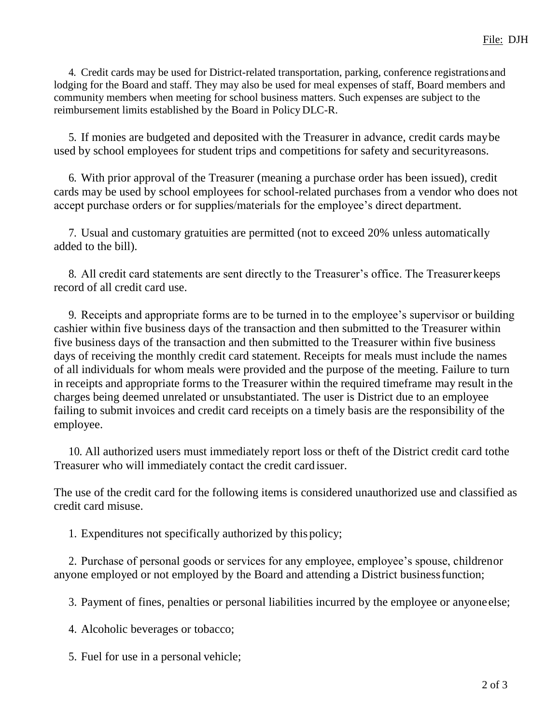4. Credit cards may be used for District-related transportation, parking, conference registrations and lodging for the Board and staff. They may also be used for meal expenses of staff, Board members and community members when meeting for school business matters. Such expenses are subject to the reimbursement limits established by the Board in Policy DLC-R.

5. If monies are budgeted and deposited with the Treasurer in advance, credit cards maybe used by school employees for student trips and competitions for safety and securityreasons.

6. With prior approval of the Treasurer (meaning a purchase order has been issued), credit cards may be used by school employees for school-related purchases from a vendor who does not accept purchase orders or for supplies/materials for the employee's direct department.

7. Usual and customary gratuities are permitted (not to exceed 20% unless automatically added to the bill).

8. All credit card statements are sent directly to the Treasurer's office. The Treasurerkeeps record of all credit card use.

9. Receipts and appropriate forms are to be turned in to the employee's supervisor or building cashier within five business days of the transaction and then submitted to the Treasurer within five business days of the transaction and then submitted to the Treasurer within five business days of receiving the monthly credit card statement. Receipts for meals must include the names of all individuals for whom meals were provided and the purpose of the meeting. Failure to turn in receipts and appropriate forms to the Treasurer within the required timeframe may result in the charges being deemed unrelated or unsubstantiated. The user is District due to an employee failing to submit invoices and credit card receipts on a timely basis are the responsibility of the employee.

10. All authorized users must immediately report loss or theft of the District credit card tothe Treasurer who will immediately contact the credit card issuer.

The use of the credit card for the following items is considered unauthorized use and classified as credit card misuse.

1. Expenditures not specifically authorized by this policy;

2. Purchase of personal goods or services for any employee, employee's spouse, childrenor anyone employed or not employed by the Board and attending a District businessfunction;

3. Payment of fines, penalties or personal liabilities incurred by the employee or anyoneelse;

4. Alcoholic beverages or tobacco;

5. Fuel for use in a personal vehicle;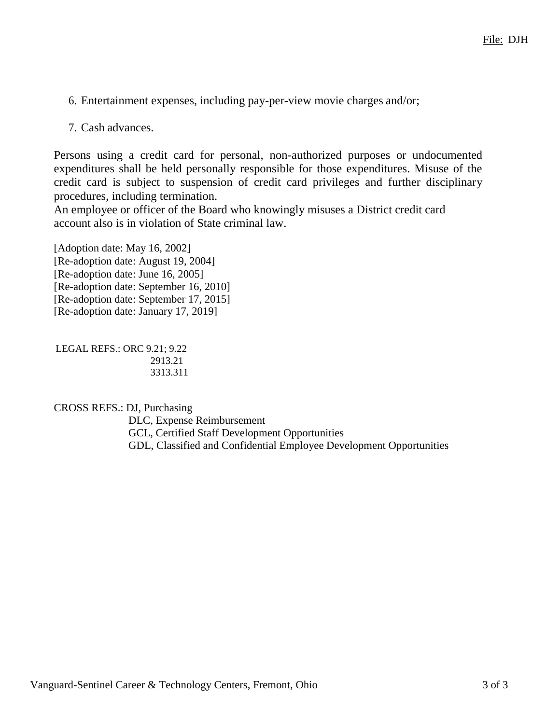- 6. Entertainment expenses, including pay-per-view movie charges and/or;
- 7. Cash advances.

Persons using a credit card for personal, non-authorized purposes or undocumented expenditures shall be held personally responsible for those expenditures. Misuse of the credit card is subject to suspension of credit card privileges and further disciplinary procedures, including termination.

An employee or officer of the Board who knowingly misuses a District credit card account also is in violation of State criminal law.

[Adoption date: May 16, 2002] [Re-adoption date: August 19, 2004] [Re-adoption date: June 16, 2005] [Re-adoption date: September 16, 2010] [Re-adoption date: September 17, 2015] [Re-adoption date: January 17, 2019]

LEGAL REFS.: ORC 9.21; 9.22 2913.21 3313.311

CROSS REFS.: DJ, Purchasing

DLC, Expense Reimbursement GCL, Certified Staff Development Opportunities GDL, Classified and Confidential Employee Development Opportunities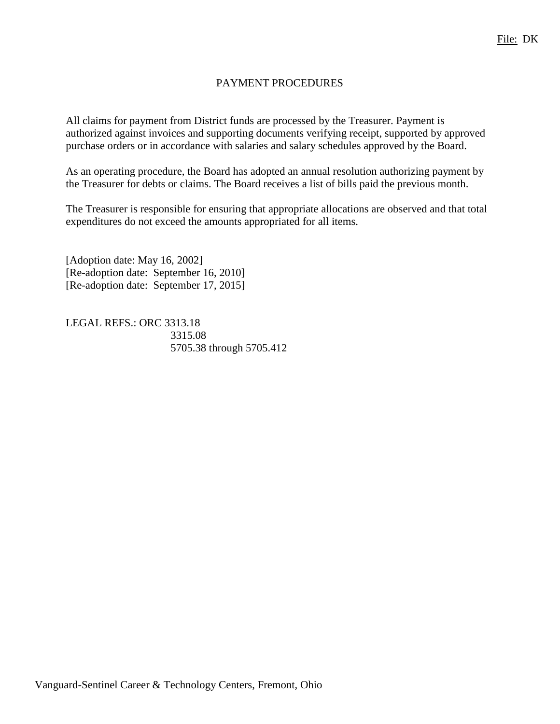## PAYMENT PROCEDURES

All claims for payment from District funds are processed by the Treasurer. Payment is authorized against invoices and supporting documents verifying receipt, supported by approved purchase orders or in accordance with salaries and salary schedules approved by the Board.

As an operating procedure, the Board has adopted an annual resolution authorizing payment by the Treasurer for debts or claims. The Board receives a list of bills paid the previous month.

The Treasurer is responsible for ensuring that appropriate allocations are observed and that total expenditures do not exceed the amounts appropriated for all items.

[Adoption date: May 16, 2002] [Re-adoption date: September 16, 2010] [Re-adoption date: September 17, 2015]

LEGAL REFS.: ORC 3313.18 3315.08 5705.38 through 5705.412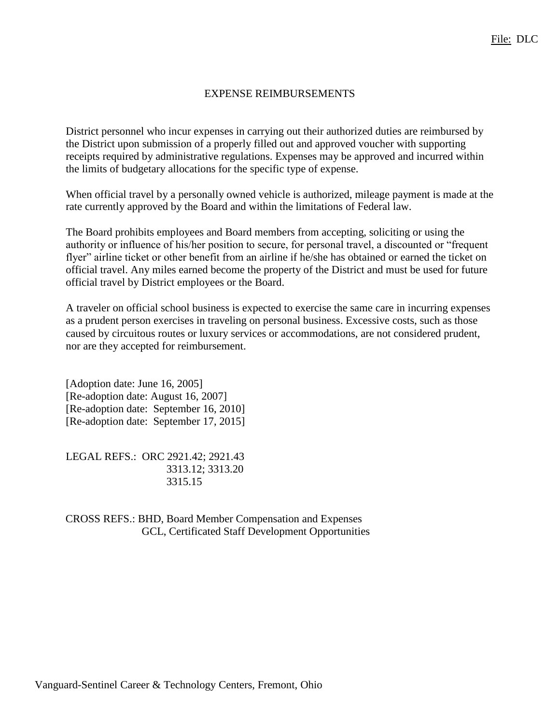## EXPENSE REIMBURSEMENTS

District personnel who incur expenses in carrying out their authorized duties are reimbursed by the District upon submission of a properly filled out and approved voucher with supporting receipts required by administrative regulations. Expenses may be approved and incurred within the limits of budgetary allocations for the specific type of expense.

When official travel by a personally owned vehicle is authorized, mileage payment is made at the rate currently approved by the Board and within the limitations of Federal law.

The Board prohibits employees and Board members from accepting, soliciting or using the authority or influence of his/her position to secure, for personal travel, a discounted or "frequent flyer" airline ticket or other benefit from an airline if he/she has obtained or earned the ticket on official travel. Any miles earned become the property of the District and must be used for future official travel by District employees or the Board.

A traveler on official school business is expected to exercise the same care in incurring expenses as a prudent person exercises in traveling on personal business. Excessive costs, such as those caused by circuitous routes or luxury services or accommodations, are not considered prudent, nor are they accepted for reimbursement.

[Adoption date: June 16, 2005] [Re-adoption date: August 16, 2007] [Re-adoption date: September 16, 2010] [Re-adoption date: September 17, 2015]

LEGAL REFS.: ORC 2921.42; 2921.43 3313.12; 3313.20 3315.15

CROSS REFS.: BHD, Board Member Compensation and Expenses GCL, Certificated Staff Development Opportunities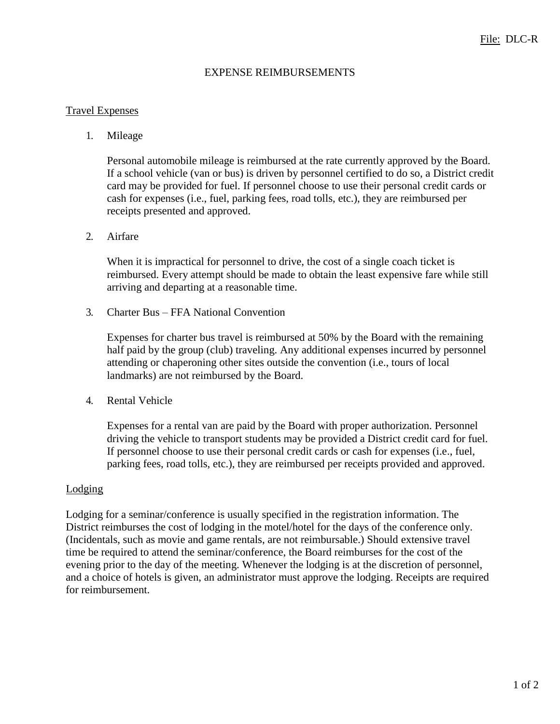### EXPENSE REIMBURSEMENTS

### Travel Expenses

### 1. Mileage

Personal automobile mileage is reimbursed at the rate currently approved by the Board. If a school vehicle (van or bus) is driven by personnel certified to do so, a District credit card may be provided for fuel. If personnel choose to use their personal credit cards or cash for expenses (i.e., fuel, parking fees, road tolls, etc.), they are reimbursed per receipts presented and approved.

#### 2. Airfare

When it is impractical for personnel to drive, the cost of a single coach ticket is reimbursed. Every attempt should be made to obtain the least expensive fare while still arriving and departing at a reasonable time.

3. Charter Bus – FFA National Convention

Expenses for charter bus travel is reimbursed at 50% by the Board with the remaining half paid by the group (club) traveling. Any additional expenses incurred by personnel attending or chaperoning other sites outside the convention (i.e., tours of local landmarks) are not reimbursed by the Board.

4. Rental Vehicle

Expenses for a rental van are paid by the Board with proper authorization. Personnel driving the vehicle to transport students may be provided a District credit card for fuel. If personnel choose to use their personal credit cards or cash for expenses (i.e., fuel, parking fees, road tolls, etc.), they are reimbursed per receipts provided and approved.

#### Lodging

Lodging for a seminar/conference is usually specified in the registration information. The District reimburses the cost of lodging in the motel/hotel for the days of the conference only. (Incidentals, such as movie and game rentals, are not reimbursable.) Should extensive travel time be required to attend the seminar/conference, the Board reimburses for the cost of the evening prior to the day of the meeting. Whenever the lodging is at the discretion of personnel, and a choice of hotels is given, an administrator must approve the lodging. Receipts are required for reimbursement.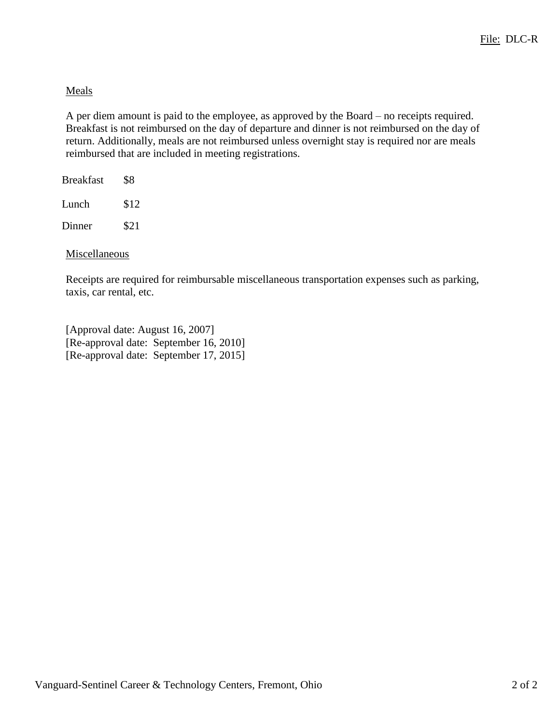## Meals

A per diem amount is paid to the employee, as approved by the Board – no receipts required. Breakfast is not reimbursed on the day of departure and dinner is not reimbursed on the day of return. Additionally, meals are not reimbursed unless overnight stay is required nor are meals reimbursed that are included in meeting registrations.

| Breakfast | \$8  |
|-----------|------|
| Lunch     | \$12 |
| Dinner    | \$21 |
|           |      |

Miscellaneous

Receipts are required for reimbursable miscellaneous transportation expenses such as parking, taxis, car rental, etc.

[Approval date: August 16, 2007] [Re-approval date: September 16, 2010] [Re-approval date: September 17, 2015]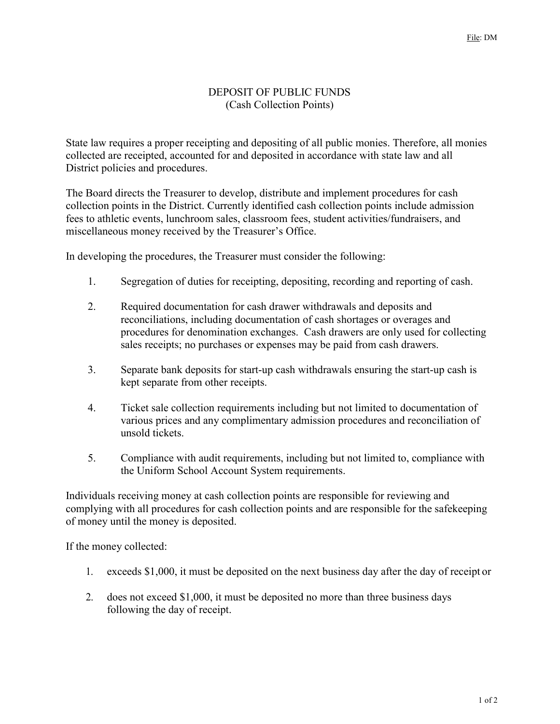## DEPOSIT OF PUBLIC FUNDS (Cash Collection Points)

State law requires a proper receipting and depositing of all public monies. Therefore, all monies collected are receipted, accounted for and deposited in accordance with state law and all District policies and procedures.

The Board directs the Treasurer to develop, distribute and implement procedures for cash collection points in the District. Currently identified cash collection points include admission fees to athletic events, lunchroom sales, classroom fees, student activities/fundraisers, and miscellaneous money received by the Treasurer's Office.

In developing the procedures, the Treasurer must consider the following:

- 1. Segregation of duties for receipting, depositing, recording and reporting of cash.
- 2. Required documentation for cash drawer withdrawals and deposits and reconciliations, including documentation of cash shortages or overages and procedures for denomination exchanges. Cash drawers are only used for collecting sales receipts; no purchases or expenses may be paid from cash drawers.
- 3. Separate bank deposits for start-up cash withdrawals ensuring the start-up cash is kept separate from other receipts.
- 4. Ticket sale collection requirements including but not limited to documentation of various prices and any complimentary admission procedures and reconciliation of unsold tickets.
- 5. Compliance with audit requirements, including but not limited to, compliance with the Uniform School Account System requirements.

Individuals receiving money at cash collection points are responsible for reviewing and complying with all procedures for cash collection points and are responsible for the safekeeping of money until the money is deposited.

If the money collected:

- 1. exceeds \$1,000, it must be deposited on the next business day after the day of receipt or
- 2. does not exceed \$1,000, it must be deposited no more than three business days following the day of receipt.